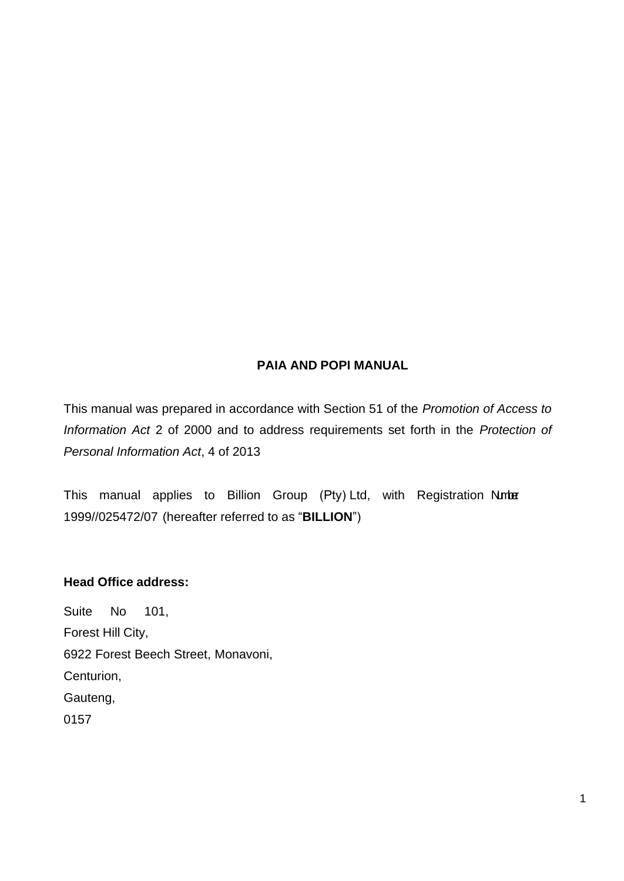# **PAIA AND POPI MANUAL**

This manual was prepared in accordance with Section 51 of the *Promotion of Access to Information Act* 2 of 2000 and to address requirements set forth in the *Protection of Personal Information Act*, 4 of 2013

This manual applies to Billion Group (Pty) Ltd, with Registration Nnter 1999//025472/07 (hereafter referred to as "**BILLION**")

### **Head Office address:**

Suite No 101, Forest Hill City, 6922 Forest Beech Street, Monavoni, Centurion, Gauteng, 0157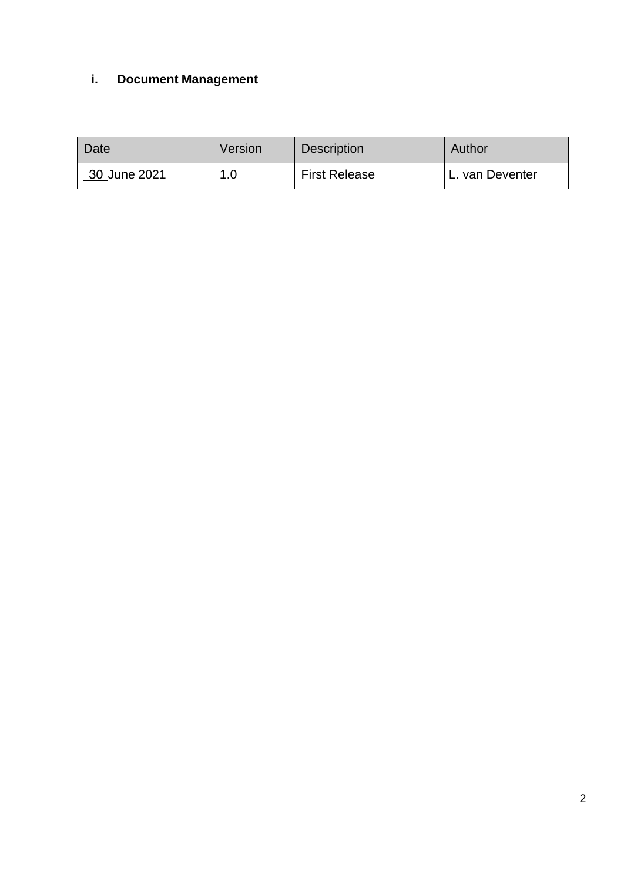# **i. Document Management**

| Date         | Version | <b>Description</b>   | Author          |
|--------------|---------|----------------------|-----------------|
| 30 June 2021 | 1.0     | <b>First Release</b> | L. van Deventer |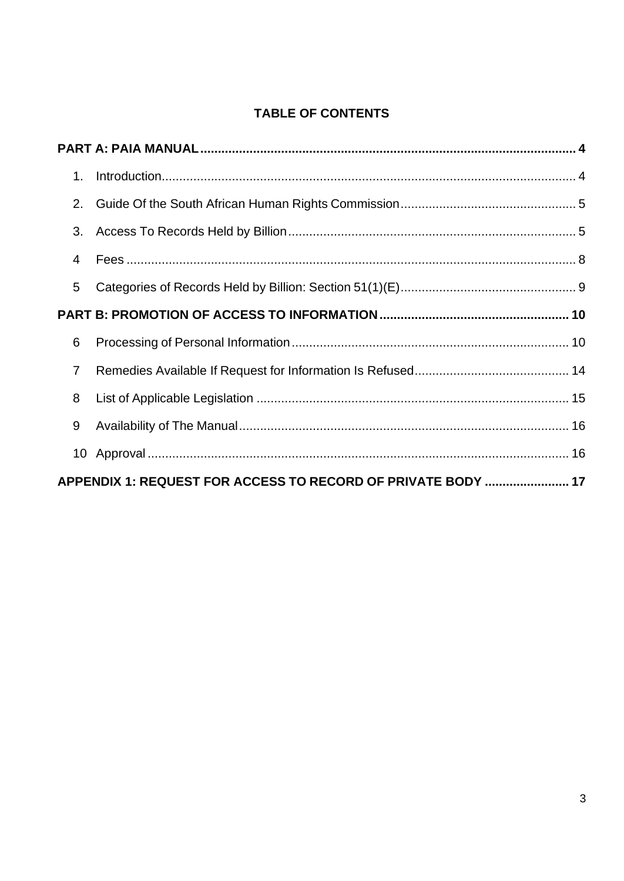# **TABLE OF CONTENTS**

| 1.             |                                                              |  |
|----------------|--------------------------------------------------------------|--|
| 2.             |                                                              |  |
| 3.             |                                                              |  |
| $\overline{4}$ |                                                              |  |
| 5              |                                                              |  |
|                |                                                              |  |
| 6              |                                                              |  |
| $\overline{7}$ |                                                              |  |
| 8              |                                                              |  |
| 9              |                                                              |  |
|                |                                                              |  |
|                | APPENDIX 1: REQUEST FOR ACCESS TO RECORD OF PRIVATE BODY  17 |  |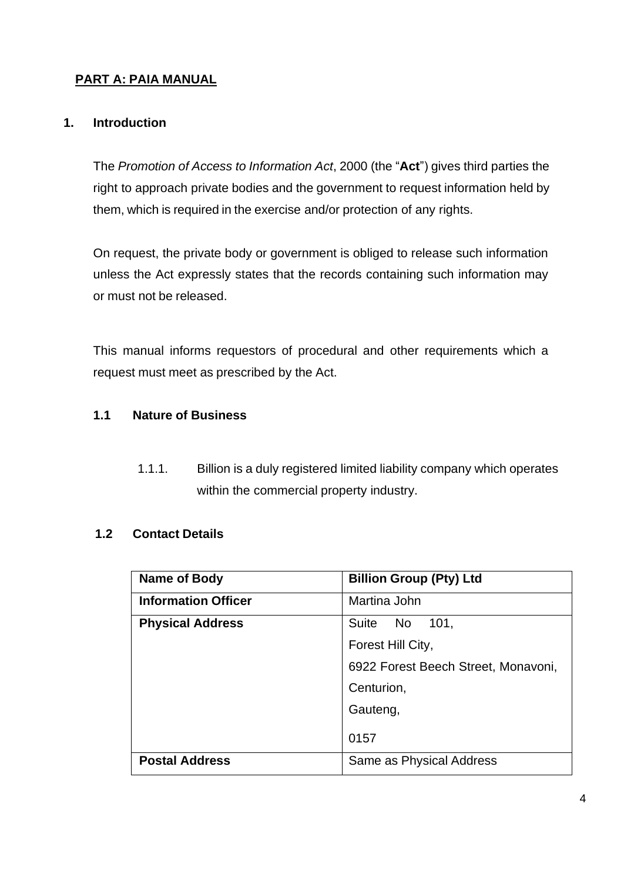### <span id="page-3-0"></span>**PART A: PAIA MANUAL**

#### <span id="page-3-1"></span>**1. Introduction**

The *Promotion of Access to Information Act*, 2000 (the "**Act**") gives third parties the right to approach private bodies and the government to request information held by them, which is required in the exercise and/or protection of any rights.

On request, the private body or government is obliged to release such information unless the Act expressly states that the records containing such information may or must not be released.

This manual informs requestors of procedural and other requirements which a request must meet as prescribed by the Act.

#### **1.1 Nature of Business**

1.1.1. Billion is a duly registered limited liability company which operates within the commercial property industry.

### **1.2 Contact Details**

| Name of Body               | <b>Billion Group (Pty) Ltd</b>      |
|----------------------------|-------------------------------------|
| <b>Information Officer</b> | Martina John                        |
| <b>Physical Address</b>    | Suite No<br>101.                    |
|                            | Forest Hill City,                   |
|                            | 6922 Forest Beech Street, Monavoni, |
|                            | Centurion,                          |
|                            | Gauteng,                            |
|                            | 0157                                |
| <b>Postal Address</b>      | Same as Physical Address            |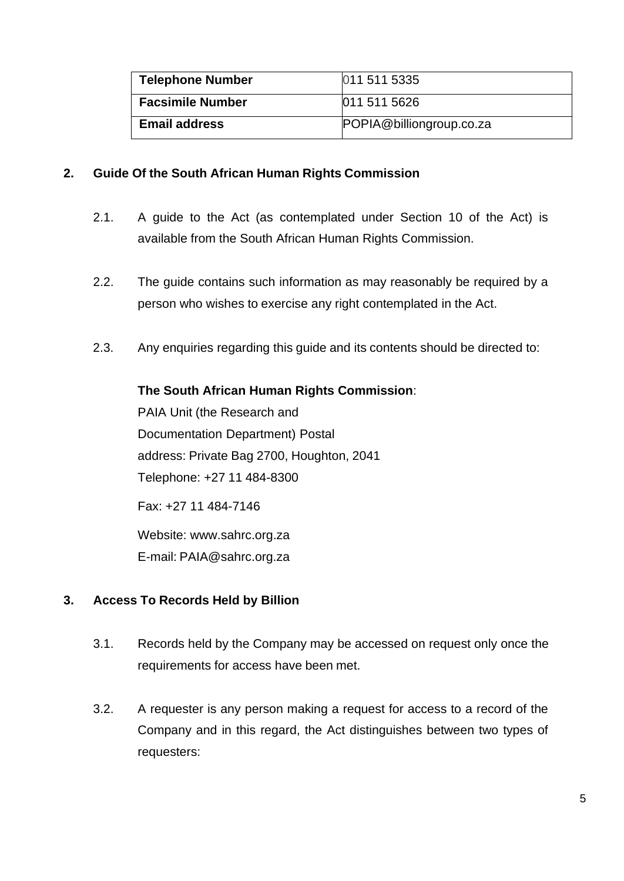| <b>Telephone Number</b> | 011 511 5335             |
|-------------------------|--------------------------|
| <b>Facsimile Number</b> | 011 511 5626             |
| <b>Email address</b>    | POPIA@billiongroup.co.za |

#### <span id="page-4-0"></span>**2. Guide Of the South African Human Rights Commission**

- 2.1. A guide to the Act (as contemplated under Section 10 of the Act) is available from the South African Human Rights Commission.
- 2.2. The guide contains such information as may reasonably be required by a person who wishes to exercise any right contemplated in the Act.
- 2.3. Any enquiries regarding this guide and its contents should be directed to:

### **The South African Human Rights Commission**:

PAIA Unit (the Research and Documentation Department) Postal address: Private Bag 2700, Houghton, 2041 Telephone: +27 11 484-8300

Fax: +27 11 484-7146

Website: [www.sahrc.org.za](http://www.sahrc.org.za/) E-mail: [PAIA@sahrc.org.za](mailto:PAIA@sahrc.org.za)

### <span id="page-4-1"></span>**3. Access To Records Held by Billion**

- 3.1. Records held by the Company may be accessed on request only once the requirements for access have been met.
- 3.2. A requester is any person making a request for access to a record of the Company and in this regard, the Act distinguishes between two types of requesters: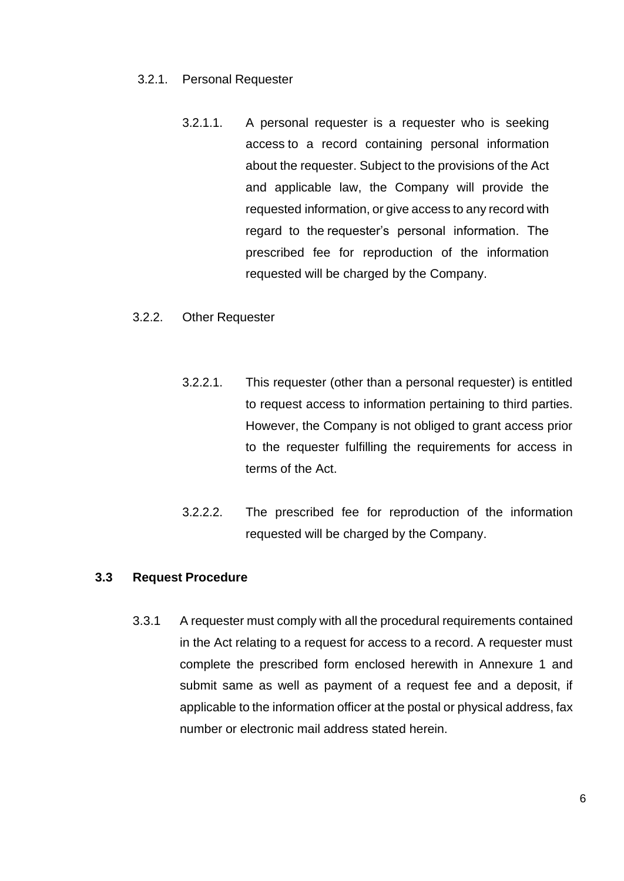- 3.2.1. Personal Requester
	- 3.2.1.1. A personal requester is a requester who is seeking access to a record containing personal information about the requester. Subject to the provisions of the Act and applicable law, the Company will provide the requested information, or give access to any record with regard to the requester's personal information. The prescribed fee for reproduction of the information requested will be charged by the Company.

#### 3.2.2. Other Requester

- 3.2.2.1. This requester (other than a personal requester) is entitled to request access to information pertaining to third parties. However, the Company is not obliged to grant access prior to the requester fulfilling the requirements for access in terms of the Act.
- 3.2.2.2. The prescribed fee for reproduction of the information requested will be charged by the Company.

#### **3.3 Request Procedure**

3.3.1 A requester must comply with all the procedural requirements contained in the Act relating to a request for access to a record. A requester must complete the prescribed form enclosed herewith in Annexure 1 and submit same as well as payment of a request fee and a deposit, if applicable to the information officer at the postal or physical address, fax number or electronic mail address stated herein.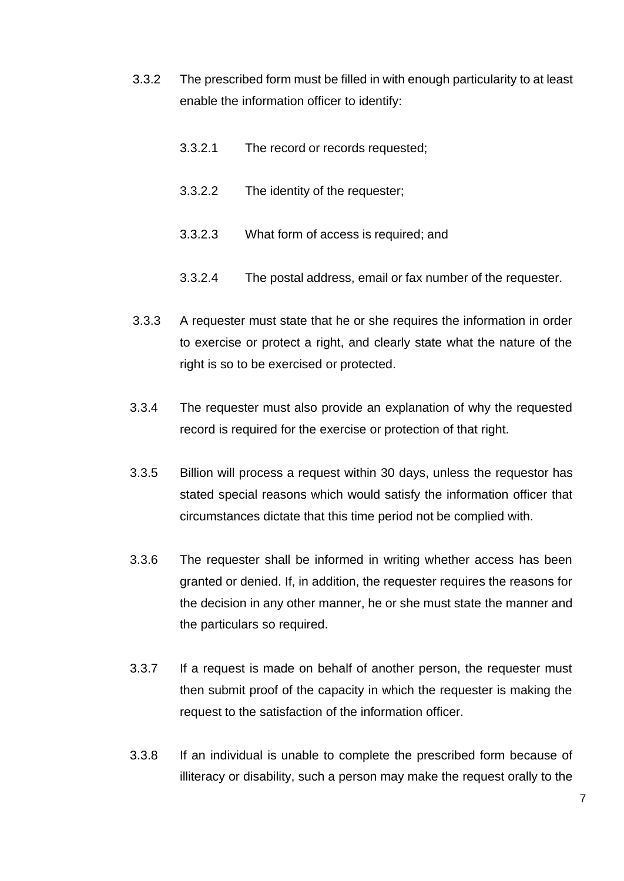- 3.3.2 The prescribed form must be filled in with enough particularity to at least enable the information officer to identify:
	- 3.3.2.1 The record or records requested;
	- 3.3.2.2 The identity of the requester;
	- 3.3.2.3 What form of access is required; and
	- 3.3.2.4 The postal address, email or fax number of the requester.
- 3.3.3 A requester must state that he or she requires the information in order to exercise or protect a right, and clearly state what the nature of the right is so to be exercised or protected.
- 3.3.4 The requester must also provide an explanation of why the requested record is required for the exercise or protection of that right.
- 3.3.5 Billion will process a request within 30 days, unless the requestor has stated special reasons which would satisfy the information officer that circumstances dictate that this time period not be complied with.
- 3.3.6 The requester shall be informed in writing whether access has been granted or denied. If, in addition, the requester requires the reasons for the decision in any other manner, he or she must state the manner and the particulars so required.
- 3.3.7 If a request is made on behalf of another person, the requester must then submit proof of the capacity in which the requester is making the request to the satisfaction of the information officer.
- 3.3.8 If an individual is unable to complete the prescribed form because of illiteracy or disability, such a person may make the request orally to the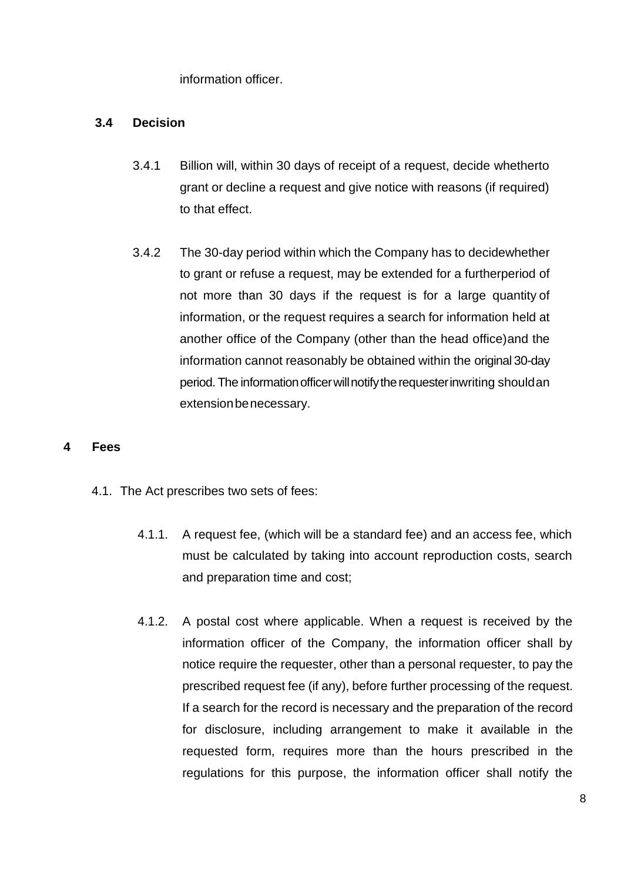information officer.

#### **3.4 Decision**

- 3.4.1 Billion will, within 30 days of receipt of a request, decide whetherto grant or decline a request and give notice with reasons (if required) to that effect.
- 3.4.2 The 30-day period within which the Company has to decidewhether to grant or refuse a request, may be extended for a furtherperiod of not more than 30 days if the request is for a large quantity of information, or the request requires a search for information held at another office of the Company (other than the head office)and the information cannot reasonably be obtained within the original 30-day period. The information officer will notify the requester inwriting should an extension be necessary.

#### <span id="page-7-0"></span>**4 Fees**

- 4.1. The Act prescribes two sets of fees:
	- 4.1.1. A request fee, (which will be a standard fee) and an access fee, which must be calculated by taking into account reproduction costs, search and preparation time and cost;
	- 4.1.2. A postal cost where applicable. When a request is received by the information officer of the Company, the information officer shall by notice require the requester, other than a personal requester, to pay the prescribed request fee (if any), before further processing of the request. If a search for the record is necessary and the preparation of the record for disclosure, including arrangement to make it available in the requested form, requires more than the hours prescribed in the regulations for this purpose, the information officer shall notify the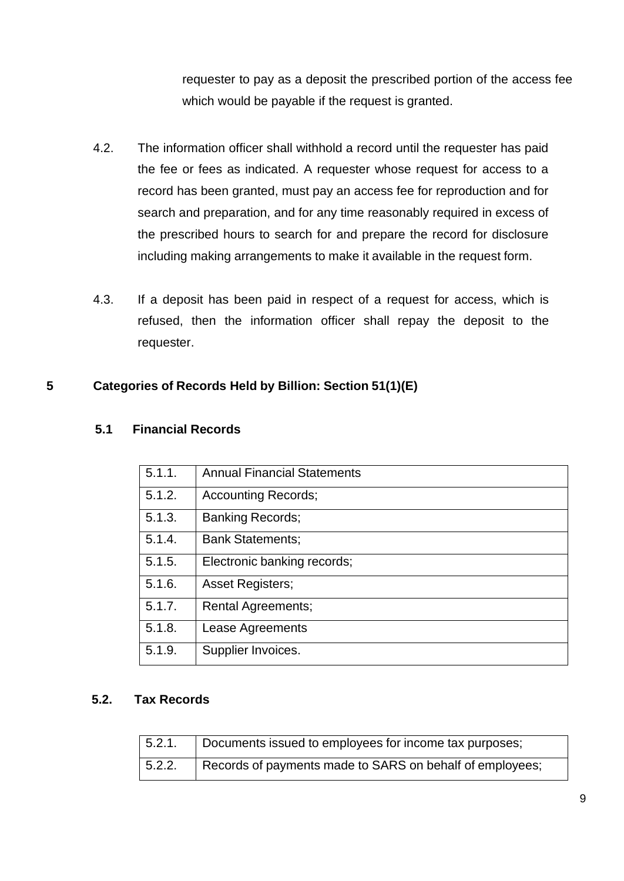requester to pay as a deposit the prescribed portion of the access fee which would be payable if the request is granted.

- 4.2. The information officer shall withhold a record until the requester has paid the fee or fees as indicated. A requester whose request for access to a record has been granted, must pay an access fee for reproduction and for search and preparation, and for any time reasonably required in excess of the prescribed hours to search for and prepare the record for disclosure including making arrangements to make it available in the request form.
- 4.3. If a deposit has been paid in respect of a request for access, which is refused, then the information officer shall repay the deposit to the requester.

### <span id="page-8-0"></span>**5 Categories of Records Held by Billion: Section 51(1)(E)**

#### **5.1 Financial Records**

| 5.1.1. | <b>Annual Financial Statements</b> |
|--------|------------------------------------|
| 5.1.2. | <b>Accounting Records;</b>         |
| 5.1.3. | <b>Banking Records;</b>            |
| 5.1.4. | <b>Bank Statements:</b>            |
| 5.1.5. | Electronic banking records;        |
| 5.1.6. | <b>Asset Registers;</b>            |
| 5.1.7. | <b>Rental Agreements;</b>          |
| 5.1.8. | Lease Agreements                   |
| 5.1.9. | Supplier Invoices.                 |

#### **5.2. Tax Records**

| 5.2.1. | Documents issued to employees for income tax purposes;   |
|--------|----------------------------------------------------------|
| 5.2.2. | Records of payments made to SARS on behalf of employees; |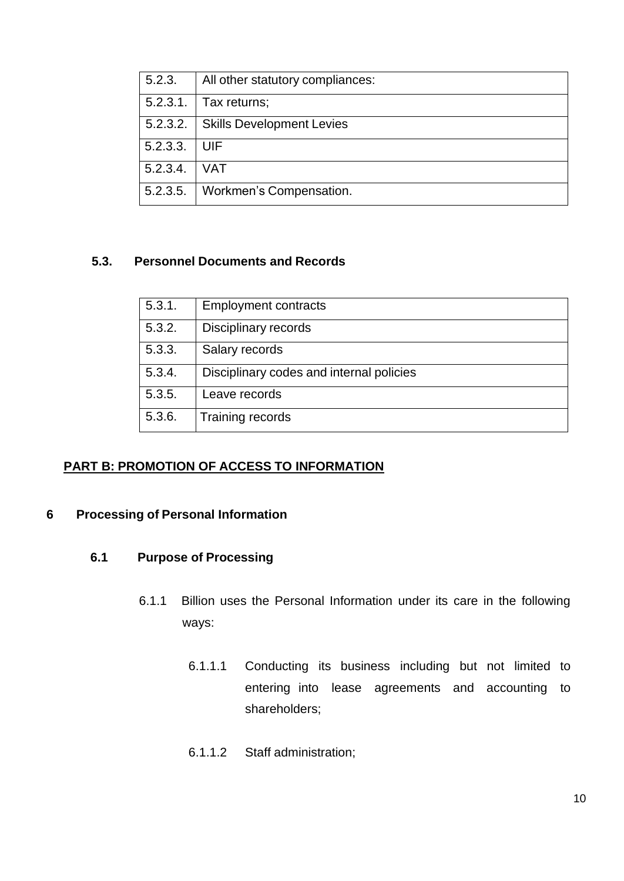| 5.2.3.      | All other statutory compliances: |
|-------------|----------------------------------|
| $5.2.3.1$ . | Tax returns;                     |
| 5.2.3.2.    | <b>Skills Development Levies</b> |
| 5.2.3.3.    | UIF                              |
| 5.2.3.4.    | <b>VAT</b>                       |
| 5.2.3.5.    | Workmen's Compensation.          |

#### **5.3. Personnel Documents and Records**

| 5.3.1. | <b>Employment contracts</b>              |
|--------|------------------------------------------|
| 5.3.2. | Disciplinary records                     |
| 5.3.3. | Salary records                           |
| 5.3.4. | Disciplinary codes and internal policies |
| 5.3.5. | Leave records                            |
| 5.3.6. | Training records                         |

### <span id="page-9-0"></span>**PART B: PROMOTION OF ACCESS TO INFORMATION**

#### <span id="page-9-1"></span>**6 Processing of Personal Information**

#### **6.1 Purpose of Processing**

- 6.1.1 Billion uses the Personal Information under its care in the following ways:
	- 6.1.1.1 Conducting its business including but not limited to entering into lease agreements and accounting to shareholders;
	- 6.1.1.2 Staff administration;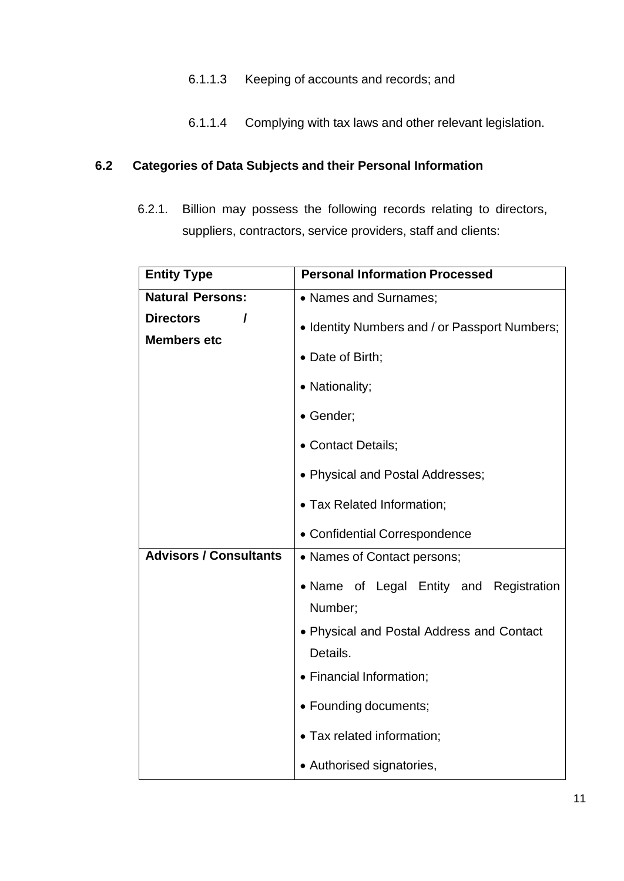- 6.1.1.3 Keeping of accounts and records; and
- 6.1.1.4 Complying with tax laws and other relevant legislation.

### **6.2 Categories of Data Subjects and their Personal Information**

6.2.1. Billion may possess the following records relating to directors, suppliers, contractors, service providers, staff and clients:

| <b>Entity Type</b>                     | <b>Personal Information Processed</b>              |
|----------------------------------------|----------------------------------------------------|
| <b>Natural Persons:</b>                | • Names and Surnames;                              |
| <b>Directors</b><br><b>Members etc</b> | • Identity Numbers and / or Passport Numbers;      |
|                                        | • Date of Birth;                                   |
|                                        | • Nationality;                                     |
|                                        | • Gender;                                          |
|                                        | • Contact Details;                                 |
|                                        | • Physical and Postal Addresses;                   |
|                                        | • Tax Related Information;                         |
|                                        | • Confidential Correspondence                      |
| <b>Advisors / Consultants</b>          | • Names of Contact persons;                        |
|                                        | • Name of Legal Entity and Registration<br>Number; |
|                                        | • Physical and Postal Address and Contact          |
|                                        | Details.                                           |
|                                        | • Financial Information;                           |
|                                        | • Founding documents;                              |
|                                        | · Tax related information;                         |
|                                        | • Authorised signatories,                          |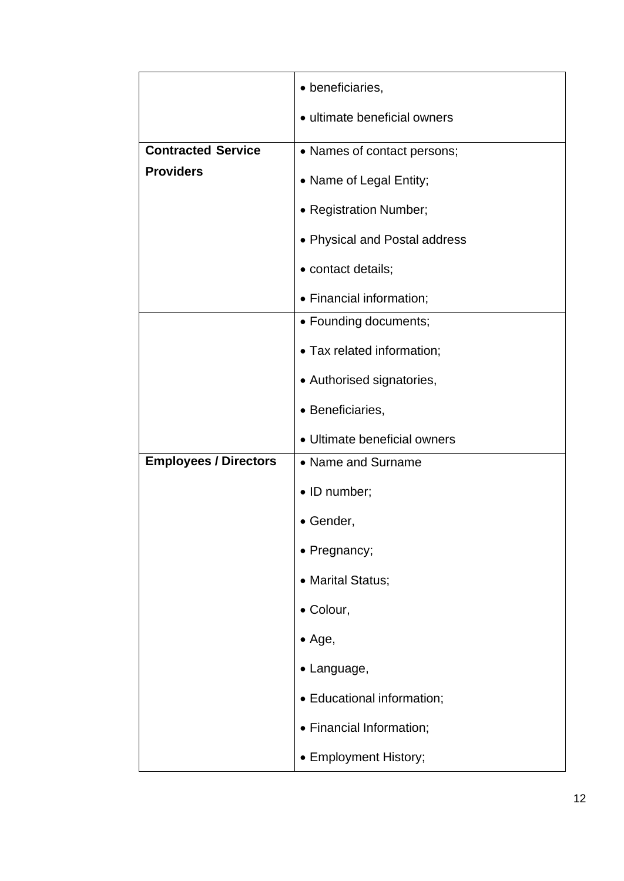|                              | • beneficiaries,              |
|------------------------------|-------------------------------|
|                              |                               |
|                              | • ultimate beneficial owners  |
| <b>Contracted Service</b>    | • Names of contact persons;   |
| <b>Providers</b>             | • Name of Legal Entity;       |
|                              | • Registration Number;        |
|                              | • Physical and Postal address |
|                              | • contact details;            |
|                              | • Financial information;      |
|                              | • Founding documents;         |
|                              | • Tax related information;    |
|                              | • Authorised signatories,     |
|                              | • Beneficiaries,              |
|                              | • Ultimate beneficial owners  |
| <b>Employees / Directors</b> | • Name and Surname            |
|                              | • ID number;                  |
|                              | • Gender,                     |
|                              | • Pregnancy;                  |
|                              | • Marital Status;             |
|                              | • Colour,                     |
|                              | $\bullet$ Age,                |
|                              | • Language,                   |
|                              | · Educational information;    |
|                              | • Financial Information;      |
|                              | • Employment History;         |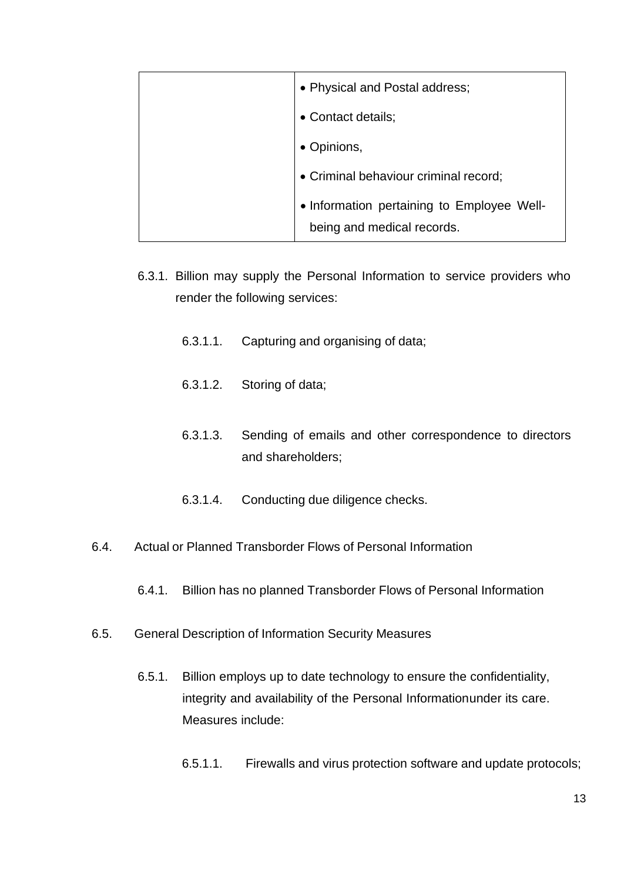| • Physical and Postal address;                                           |
|--------------------------------------------------------------------------|
| • Contact details;                                                       |
| • Opinions,                                                              |
| • Criminal behaviour criminal record;                                    |
| • Information pertaining to Employee Well-<br>being and medical records. |

- 6.3.1. Billion may supply the Personal Information to service providers who render the following services:
	- 6.3.1.1. Capturing and organising of data;
	- 6.3.1.2. Storing of data;
	- 6.3.1.3. Sending of emails and other correspondence to directors and shareholders;
	- 6.3.1.4. Conducting due diligence checks.
- 6.4. Actual or Planned Transborder Flows of Personal Information
	- 6.4.1. Billion has no planned Transborder Flows of Personal Information
- 6.5. General Description of Information Security Measures
	- 6.5.1. Billion employs up to date technology to ensure the confidentiality, integrity and availability of the Personal Informationunder its care. Measures include:
		- 6.5.1.1. Firewalls and virus protection software and update protocols;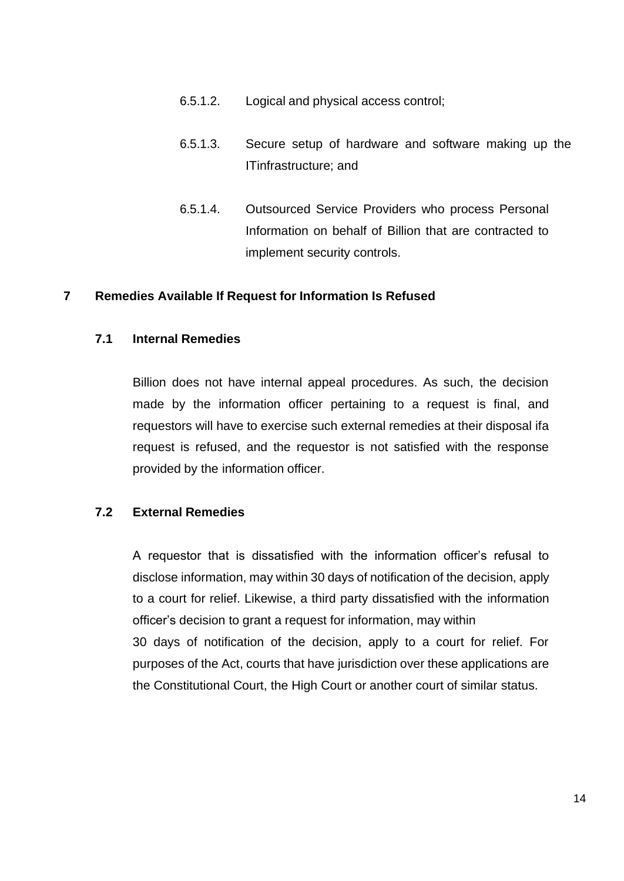- 6.5.1.2. Logical and physical access control;
- 6.5.1.3. Secure setup of hardware and software making up the ITinfrastructure; and
- 6.5.1.4. Outsourced Service Providers who process Personal Information on behalf of Billion that are contracted to implement security controls.

### <span id="page-13-0"></span>**7 Remedies Available If Request for Information Is Refused**

#### **7.1 Internal Remedies**

Billion does not have internal appeal procedures. As such, the decision made by the information officer pertaining to a request is final, and requestors will have to exercise such external remedies at their disposal ifa request is refused, and the requestor is not satisfied with the response provided by the information officer.

#### **7.2 External Remedies**

A requestor that is dissatisfied with the information officer's refusal to disclose information, may within 30 days of notification of the decision, apply to a court for relief. Likewise, a third party dissatisfied with the information officer's decision to grant a request for information, may within 30 days of notification of the decision, apply to a court for relief. For purposes of the Act, courts that have jurisdiction over these applications are the Constitutional Court, the High Court or another court of similar status.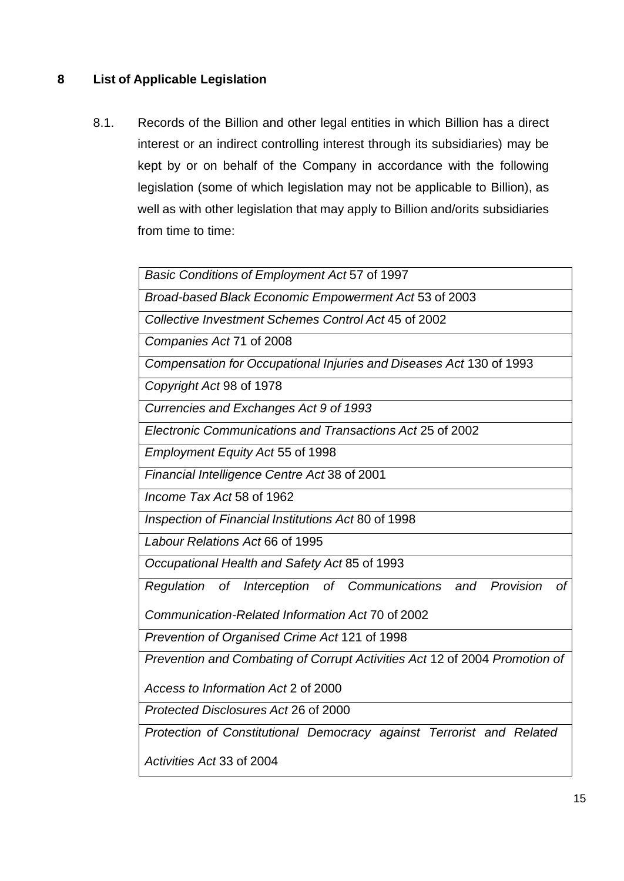# <span id="page-14-0"></span>**8 List of Applicable Legislation**

8.1. Records of the Billion and other legal entities in which Billion has a direct interest or an indirect controlling interest through its subsidiaries) may be kept by or on behalf of the Company in accordance with the following legislation (some of which legislation may not be applicable to Billion), as well as with other legislation that may apply to Billion and/orits subsidiaries from time to time:

| Basic Conditions of Employment Act 57 of 1997                                  |
|--------------------------------------------------------------------------------|
| Broad-based Black Economic Empowerment Act 53 of 2003                          |
| Collective Investment Schemes Control Act 45 of 2002                           |
| Companies Act 71 of 2008                                                       |
| Compensation for Occupational Injuries and Diseases Act 130 of 1993            |
| Copyright Act 98 of 1978                                                       |
| Currencies and Exchanges Act 9 of 1993                                         |
| Electronic Communications and Transactions Act 25 of 2002                      |
| <b>Employment Equity Act 55 of 1998</b>                                        |
| Financial Intelligence Centre Act 38 of 2001                                   |
| Income Tax Act 58 of 1962                                                      |
| Inspection of Financial Institutions Act 80 of 1998                            |
| Labour Relations Act 66 of 1995                                                |
| Occupational Health and Safety Act 85 of 1993                                  |
| Provision<br>Regulation of Interception of Communications and<br><sub>of</sub> |
| Communication-Related Information Act 70 of 2002                               |
| Prevention of Organised Crime Act 121 of 1998                                  |
| Prevention and Combating of Corrupt Activities Act 12 of 2004 Promotion of     |
| Access to Information Act 2 of 2000                                            |
| Protected Disclosures Act 26 of 2000                                           |
| Protection of Constitutional Democracy against Terrorist and Related           |
| Activities Act 33 of 2004                                                      |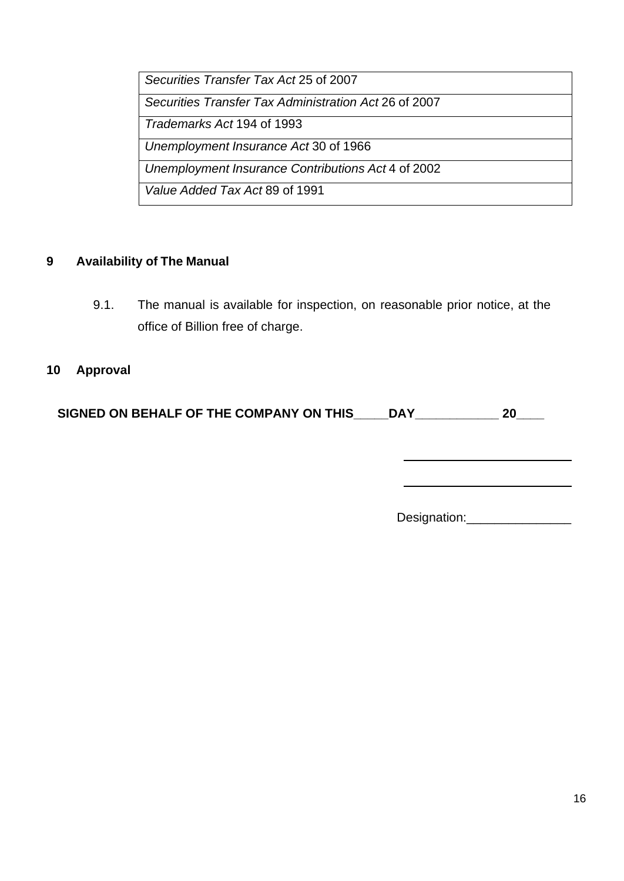| Securities Transfer Tax Act 25 of 2007                |
|-------------------------------------------------------|
| Securities Transfer Tax Administration Act 26 of 2007 |
| Trademarks Act 194 of 1993                            |
| Unemployment Insurance Act 30 of 1966                 |
| Unemployment Insurance Contributions Act 4 of 2002    |
| Value Added Tax Act 89 of 1991                        |

### <span id="page-15-0"></span>**9 Availability of The Manual**

9.1. The manual is available for inspection, on reasonable prior notice, at the office of Billion free of charge.

# <span id="page-15-1"></span>**10 Approval**

**SIGNED ON BEHALF OF THE COMPANY ON THIS\_\_\_\_\_DAY\_\_\_\_\_\_\_\_\_\_\_\_ 20\_\_\_\_**

Designation:\_\_\_\_\_\_\_\_\_\_\_\_\_\_\_\_\_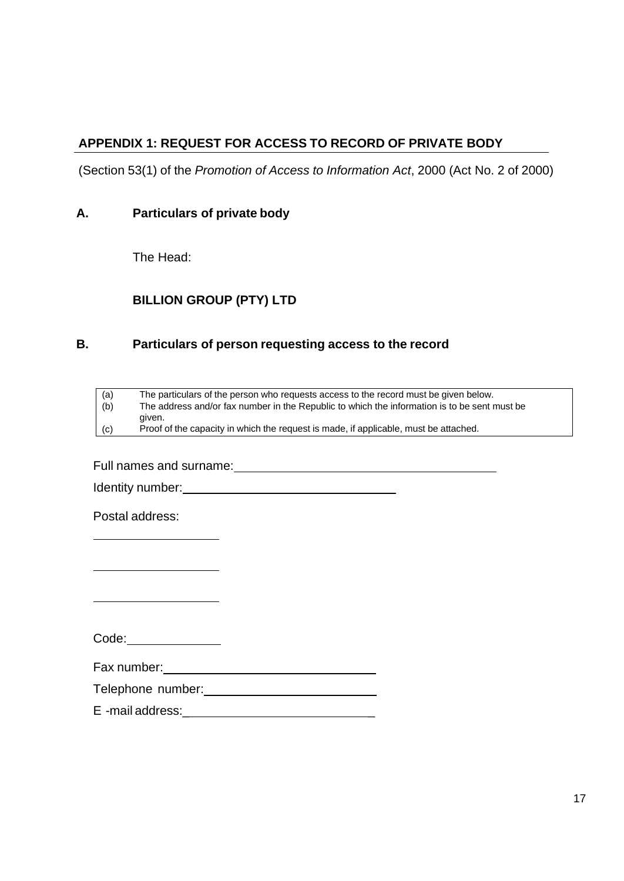# <span id="page-16-0"></span>**APPENDIX 1: REQUEST FOR ACCESS TO RECORD OF PRIVATE BODY**

(Section 53(1) of the *Promotion of Access to Information Act*, 2000 (Act No. 2 of 2000)

#### **A. Particulars of private body**

The Head:

### **BILLION GROUP (PTY) LTD**

### **B. Particulars of person requesting access to the record**

| (a) | The particulars of the person who requests access to the record must be given below.         |
|-----|----------------------------------------------------------------------------------------------|
| (b) | The address and/or fax number in the Republic to which the information is to be sent must be |
|     | aiven.                                                                                       |
| (c) | Proof of the capacity in which the request is made, if applicable, must be attached.         |

Full names and surname: Department of the surface of the surface of the surface of the surface of the surface of the surface of the surface of the surface of the surface of the surface of the surface of the surface of the

| Identity number: |
|------------------|
|------------------|

Postal address:

Code:

Telephone number: We are a series of the series of the series of the series of the series of the series of the series of the series of the series of the series of the series of the series of the series of the series of the

E -mail address:\_ \_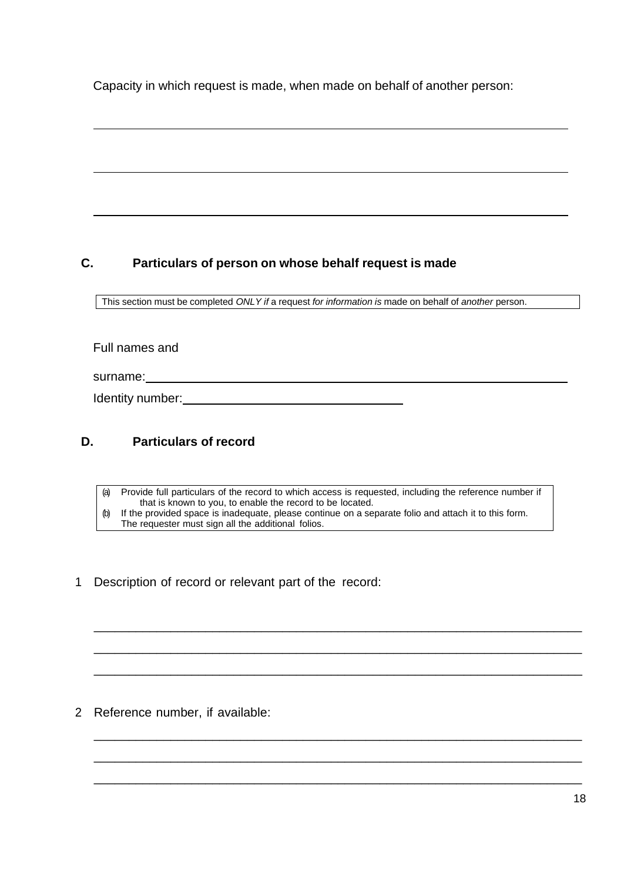Capacity in which request is made, when made on behalf of another person:

### **C. Particulars of person on whose behalf request is made**

This section must be completed *ONLY if* a request *for information is* made on behalf of *another* person.

Full names and

surname:

Identity number:

### **D. Particulars of record**

(a) Provide full particulars of the record to which access is requested, including the reference number if that is known to you, to enable the record to be located.

\_\_\_\_\_\_\_\_\_\_\_\_\_\_\_\_\_\_\_\_\_\_\_\_\_\_\_\_\_\_\_\_\_\_\_\_\_\_\_\_\_\_\_\_\_\_\_\_\_\_\_\_\_\_\_\_\_\_\_\_\_\_\_\_\_\_\_\_\_\_

\_\_\_\_\_\_\_\_\_\_\_\_\_\_\_\_\_\_\_\_\_\_\_\_\_\_\_\_\_\_\_\_\_\_\_\_\_\_\_\_\_\_\_\_\_\_\_\_\_\_\_\_\_\_\_\_\_\_\_\_\_\_\_\_\_\_\_\_\_\_

\_\_\_\_\_\_\_\_\_\_\_\_\_\_\_\_\_\_\_\_\_\_\_\_\_\_\_\_\_\_\_\_\_\_\_\_\_\_\_\_\_\_\_\_\_\_\_\_\_\_\_\_\_\_\_\_\_\_\_\_\_\_\_\_\_\_\_\_\_\_

\_\_\_\_\_\_\_\_\_\_\_\_\_\_\_\_\_\_\_\_\_\_\_\_\_\_\_\_\_\_\_\_\_\_\_\_\_\_\_\_\_\_\_\_\_\_\_\_\_\_\_\_\_\_\_\_\_\_\_\_\_\_\_\_\_\_\_\_\_\_

\_\_\_\_\_\_\_\_\_\_\_\_\_\_\_\_\_\_\_\_\_\_\_\_\_\_\_\_\_\_\_\_\_\_\_\_\_\_\_\_\_\_\_\_\_\_\_\_\_\_\_\_\_\_\_\_\_\_\_\_\_\_\_\_\_\_\_\_\_\_

\_\_\_\_\_\_\_\_\_\_\_\_\_\_\_\_\_\_\_\_\_\_\_\_\_\_\_\_\_\_\_\_\_\_\_\_\_\_\_\_\_\_\_\_\_\_\_\_\_\_\_\_\_\_\_\_\_\_\_\_\_\_\_\_\_\_\_\_\_\_

- (b) If the provided space is inadequate, please continue on a separate folio and attach it to this form. The requester must sign all the additional folios.
- 1 Description of record or relevant part of the record:

### 2 Reference number, if available: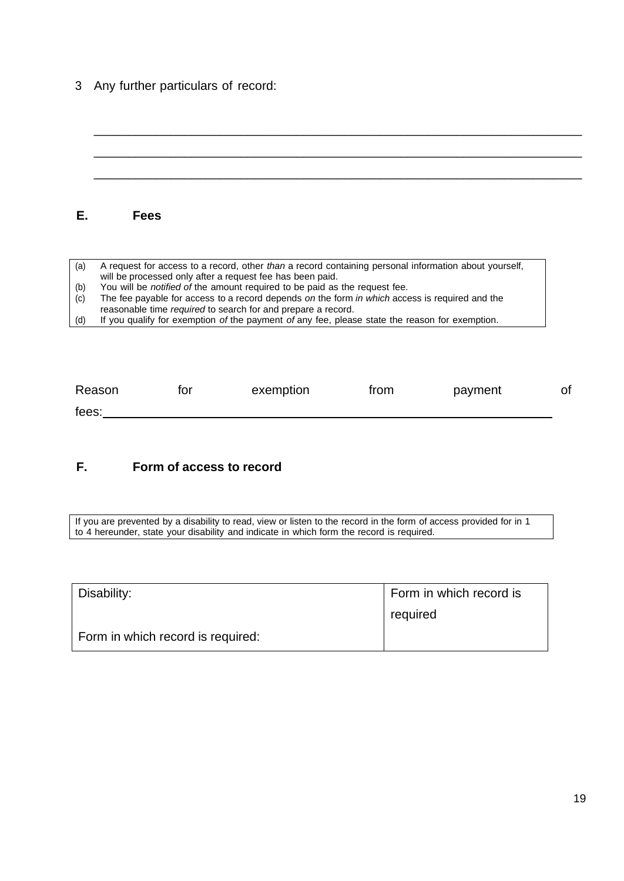#### 3 Any further particulars of record:

\_\_\_\_\_\_\_\_\_\_\_\_\_\_\_\_\_\_\_\_\_\_\_\_\_\_\_\_\_\_\_\_\_\_\_\_\_\_\_\_\_\_\_\_\_\_\_\_\_\_\_\_\_\_\_\_\_\_\_\_\_\_\_\_\_\_\_\_\_\_ \_\_\_\_\_\_\_\_\_\_\_\_\_\_\_\_\_\_\_\_\_\_\_\_\_\_\_\_\_\_\_\_\_\_\_\_\_\_\_\_\_\_\_\_\_\_\_\_\_\_\_\_\_\_\_\_\_\_\_\_\_\_\_\_\_\_\_\_\_\_ \_\_\_\_\_\_\_\_\_\_\_\_\_\_\_\_\_\_\_\_\_\_\_\_\_\_\_\_\_\_\_\_\_\_\_\_\_\_\_\_\_\_\_\_\_\_\_\_\_\_\_\_\_\_\_\_\_\_\_\_\_\_\_\_\_\_\_\_\_\_ **E. Fees**

| (a) | A request for access to a record, other than a record containing personal information about yourself, |
|-----|-------------------------------------------------------------------------------------------------------|
|     | will be processed only after a request fee has been paid.                                             |
| (b) | You will be notified of the amount required to be paid as the request fee.                            |
| (c) | The fee payable for access to a record depends on the form in which access is required and the        |
|     | reasonable time required to search for and prepare a record.                                          |
| (d) | If you qualify for exemption of the payment of any fee, please state the reason for exemption.        |

| Reason | tor | exemption | trom | payment | O1 |
|--------|-----|-----------|------|---------|----|
| fees:  |     |           |      |         |    |

# **F. Form of access to record**

If you are prevented by a disability to read, view or listen to the record in the form of access provided for in 1 to 4 hereunder, state your disability and indicate in which form the record is required.

| Disability:                       | Form in which record is |
|-----------------------------------|-------------------------|
|                                   | required                |
| Form in which record is required: |                         |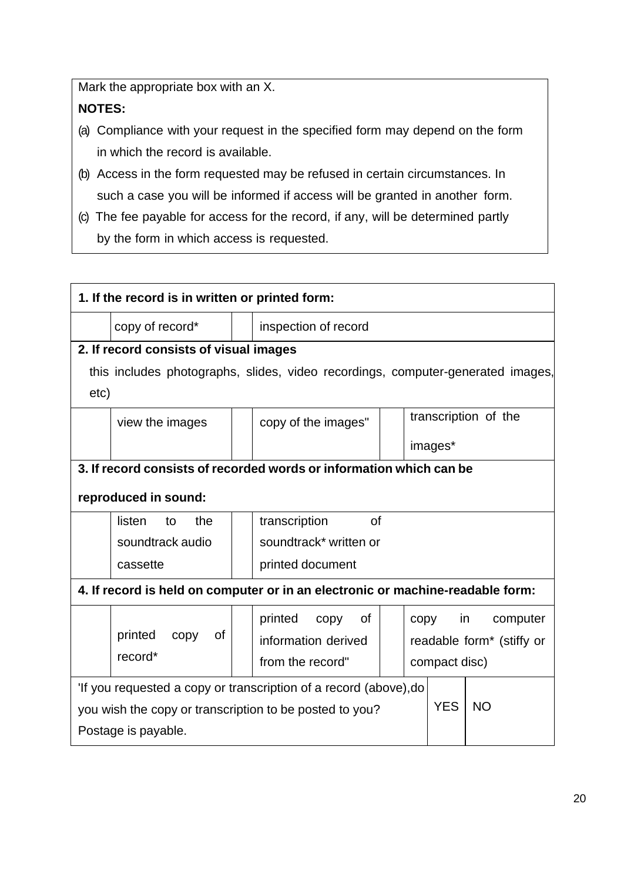Mark the appropriate box with an X.

# **NOTES:**

- (a) Compliance with your request in the specified form may depend on the form in which the record is available.
- (b) Access in the form requested may be refused in certain circumstances. In such a case you will be informed if access will be granted in another form.
- (c) The fee payable for access for the record, if any, will be determined partly by the form in which access is requested.

| 1. If the record is in written or printed form:                                    |                                                                                 |                                       |  |
|------------------------------------------------------------------------------------|---------------------------------------------------------------------------------|---------------------------------------|--|
| copy of record*                                                                    | inspection of record                                                            |                                       |  |
| 2. If record consists of visual images                                             |                                                                                 |                                       |  |
|                                                                                    | this includes photographs, slides, video recordings, computer-generated images, |                                       |  |
| etc)                                                                               |                                                                                 |                                       |  |
| view the images                                                                    | copy of the images"                                                             | transcription of the                  |  |
|                                                                                    |                                                                                 | images*                               |  |
| 3. If record consists of recorded words or information which can be                |                                                                                 |                                       |  |
| reproduced in sound:                                                               |                                                                                 |                                       |  |
| listen<br>the<br>to                                                                | of<br>transcription                                                             |                                       |  |
| soundtrack audio                                                                   | soundtrack* written or                                                          |                                       |  |
| cassette                                                                           | printed document                                                                |                                       |  |
| 4. If record is held on computer or in an electronic or machine-readable form:     |                                                                                 |                                       |  |
|                                                                                    | printed<br>οf<br>copy                                                           | in<br>computer<br>copy                |  |
| printed<br>copy<br>of                                                              | information derived                                                             | readable form <sup>*</sup> (stiffy or |  |
| record*                                                                            | from the record"                                                                | compact disc)                         |  |
| 'If you requested a copy or transcription of a record (above), do                  |                                                                                 |                                       |  |
| <b>YES</b><br><b>NO</b><br>you wish the copy or transcription to be posted to you? |                                                                                 |                                       |  |
| Postage is payable.                                                                |                                                                                 |                                       |  |